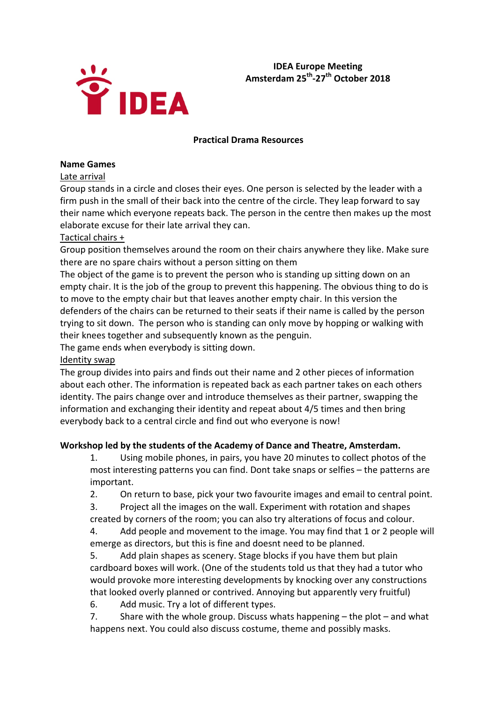

# **IDEA Europe Meeting Amsterdam 25th‐27th October 2018**

### **Practical Drama Resources**

#### **Name Games**

Late arrival

Group stands in a circle and closes their eyes. One person is selected by the leader with a firm push in the small of their back into the centre of the circle. They leap forward to say their name which everyone repeats back. The person in the centre then makes up the most elaborate excuse for their late arrival they can.

### Tactical chairs +

Group position themselves around the room on their chairs anywhere they like. Make sure there are no spare chairs without a person sitting on them

The object of the game is to prevent the person who is standing up sitting down on an empty chair. It is the job of the group to prevent this happening. The obvious thing to do is to move to the empty chair but that leaves another empty chair. In this version the defenders of the chairs can be returned to their seats if their name is called by the person trying to sit down. The person who is standing can only move by hopping or walking with their knees together and subsequently known as the penguin.

The game ends when everybody is sitting down.

### Identity swap

The group divides into pairs and finds out their name and 2 other pieces of information about each other. The information is repeated back as each partner takes on each others identity. The pairs change over and introduce themselves as their partner, swapping the information and exchanging their identity and repeat about 4/5 times and then bring everybody back to a central circle and find out who everyone is now!

### **Workshop led by the students of the Academy of Dance and Theatre, Amsterdam.**

1. Using mobile phones, in pairs, you have 20 minutes to collect photos of the most interesting patterns you can find. Dont take snaps or selfies – the patterns are important.

2. On return to base, pick your two favourite images and email to central point.

3. Project all the images on the wall. Experiment with rotation and shapes created by corners of the room; you can also try alterations of focus and colour.

4. Add people and movement to the image. You may find that 1 or 2 people will emerge as directors, but this is fine and doesnt need to be planned.

5. Add plain shapes as scenery. Stage blocks if you have them but plain cardboard boxes will work. (One of the students told us that they had a tutor who would provoke more interesting developments by knocking over any constructions that looked overly planned or contrived. Annoying but apparently very fruitful)

6. Add music. Try a lot of different types.

7. Share with the whole group. Discuss whats happening – the plot – and what happens next. You could also discuss costume, theme and possibly masks.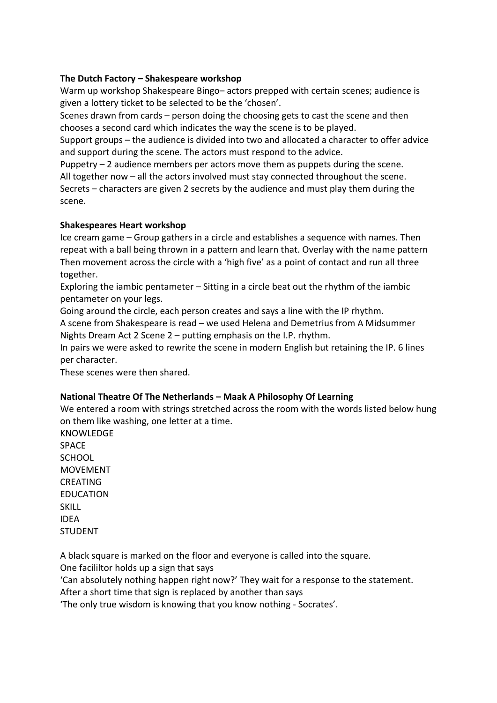## **The Dutch Factory – Shakespeare workshop**

Warm up workshop Shakespeare Bingo– actors prepped with certain scenes; audience is given a lottery ticket to be selected to be the 'chosen'.

Scenes drawn from cards – person doing the choosing gets to cast the scene and then chooses a second card which indicates the way the scene is to be played.

Support groups – the audience is divided into two and allocated a character to offer advice and support during the scene. The actors must respond to the advice.

Puppetry – 2 audience members per actors move them as puppets during the scene. All together now – all the actors involved must stay connected throughout the scene. Secrets – characters are given 2 secrets by the audience and must play them during the scene.

## **Shakespeares Heart workshop**

Ice cream game – Group gathers in a circle and establishes a sequence with names. Then repeat with a ball being thrown in a pattern and learn that. Overlay with the name pattern Then movement across the circle with a 'high five' as a point of contact and run all three together.

Exploring the iambic pentameter – Sitting in a circle beat out the rhythm of the iambic pentameter on your legs.

Going around the circle, each person creates and says a line with the IP rhythm.

A scene from Shakespeare is read – we used Helena and Demetrius from A Midsummer Nights Dream Act 2 Scene 2 – putting emphasis on the I.P. rhythm.

In pairs we were asked to rewrite the scene in modern English but retaining the IP. 6 lines per character.

These scenes were then shared.

## **National Theatre Of The Netherlands – Maak A Philosophy Of Learning**

We entered a room with strings stretched across the room with the words listed below hung on them like washing, one letter at a time.

KNOWLEDGE **SPACE** SCHOOL MOVEMENT **CREATING** EDUCATION SKILL IDEA STUDENT

A black square is marked on the floor and everyone is called into the square.

One facililtor holds up a sign that says

'Can absolutely nothing happen right now?' They wait for a response to the statement.

After a short time that sign is replaced by another than says

'The only true wisdom is knowing that you know nothing ‐ Socrates'.